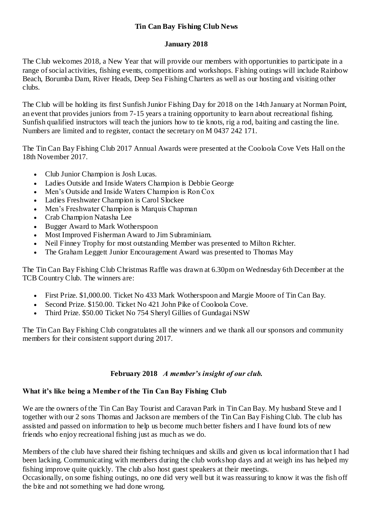# **Tin Can Bay Fishing Club News**

## **January 2018**

The Club welcomes 2018, a New Year that will provide our members with opportunities to participate in a range of social activities, fishing events, competitions and workshops. Fishing outings will include Rainbow Beach, Borumba Dam, River Heads, Deep Sea Fishing Charters as well as our hosting and visiting other clubs.

The Club will be holding its first Sunfish Junior Fishing Day for 2018 on the 14th January at Norman Point, an event that provides juniors from 7-15 years a training opportunity to learn about recreational fishing. Sunfish qualified instructors will teach the juniors how to tie knots, rig a rod, baiting and casting the line. Numbers are limited and to register, contact the secretary on M 0437 242 171.

The Tin Can Bay Fishing Club 2017 Annual Awards were presented at the Cooloola Cove Vets Hall on the 18th November 2017.

- Club Junior Champion is Josh Lucas.
- Ladies Outside and Inside Waters Champion is Debbie George
- Men's Outside and Inside Waters Champion is Ron Cox
- Ladies Freshwater Champion is Carol Slockee
- Men's Freshwater Champion is Marquis Chapman
- Crab Champion Natasha Lee
- Bugger Award to Mark Wotherspoon
- Most Improved Fisherman Award to Jim Subraminiam.
- Neil Finney Trophy for most outstanding Member was presented to Milton Richter.
- The Graham Leggett Junior Encouragement Award was presented to Thomas May

The Tin Can Bay Fishing Club Christmas Raffle was drawn at 6.30pm on Wednesday 6th December at the TCB Country Club. The winners are:

- First Prize. \$1,000.00. Ticket No 433 Mark Wotherspoon and Margie Moore of Tin Can Bay.
- Second Prize. \$150.00. Ticket No 421 John Pike of Cooloola Cove.
- Third Prize. \$50.00 Ticket No 754 Sheryl Gillies of Gundagai NSW

The Tin Can Bay Fishing Club congratulates all the winners and we thank all our sponsors and community members for their consistent support during 2017.

## **February 2018** *A member's insight of our club.*

# **What it's like being a Member of the Tin Can Bay Fishing Club**

We are the owners of the Tin Can Bay Tourist and Caravan Park in Tin Can Bay. My husband Steve and I together with our 2 sons Thomas and Jackson are members of the Tin Can Bay Fishing Club. The club has assisted and passed on information to help us become much better fishers and I have found lots of new friends who enjoy recreational fishing just as much as we do.

Members of the club have shared their fishing techniques and skills and given us local information that I had been lacking. Communicating with members during the club workshop days and at weigh ins has helped my fishing improve quite quickly. The club also host guest speakers at their meetings.

Occasionally, on some fishing outings, no one did very well but it was reassuring to know it was the fish off the bite and not something we had done wrong.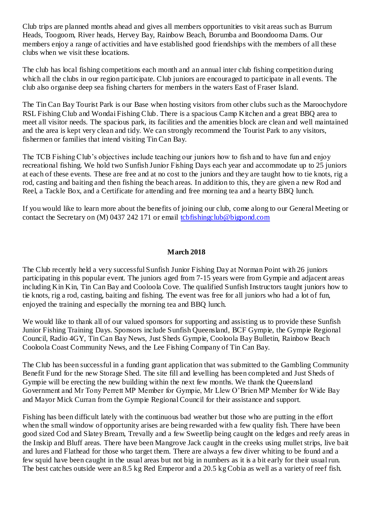Club trips are planned months ahead and gives all members opportunities to visit areas such as Burrum Heads, Toogoom, River heads, Hervey Bay, Rainbow Beach, Borumba and Boondooma Dams. Our members enjoy a range of activities and have established good friendships with the members of all these clubs when we visit these locations.

The club has local fishing competitions each month and an annual inter club fishing competition during which all the clubs in our region participate. Club juniors are encouraged to participate in all events. The club also organise deep sea fishing charters for members in the waters East of Fraser Island.

The Tin Can Bay Tourist Park is our Base when hosting visitors from other clubs such as the Maroochydore RSL Fishing Club and Wondai Fishing Club. There is a spacious Camp Kitchen and a great BBQ area to meet all visitor needs. The spacious park, its facilities and the amenities block are clean and well maintained and the area is kept very clean and tidy. We can strongly recommend the Tourist Park to any visitors, fishermen or families that intend visiting Tin Can Bay.

The TCB Fishing Club's objectives include teaching our juniors how to fish and to have fun and enjoy recreational fishing. We hold two Sunfish Junior Fishing Days each year and accommodate up to 25 juniors at each of these events. These are free and at no cost to the juniors and they are taught how to tie knots, rig a rod, casting and baiting and then fishing the beach areas. In addition to this, they are given a new Rod and Reel, a Tackle Box, and a Certificate for attending and free morning tea and a hearty BBQ lunch.

If you would like to learn more about the benefits of joining our club, come along to our General Meeting or contact the Secretary on (M) 0437 242 171 or email [tcbfishingclub@bigpond.com](mailto:tcbfishingclub@bigpond.com)

## **March 2018**

The Club recently held a very successful Sunfish Junior Fishing Day at Norman Point with 26 juniors participating in this popular event. The juniors aged from 7-15 years were from Gympie and adjacent areas including Kin Kin, Tin Can Bay and Cooloola Cove. The qualified Sunfish Instructors taught juniors how to tie knots, rig a rod, casting, baiting and fishing. The event was free for all juniors who had a lot of fun, enjoyed the training and especially the morning tea and BBQ lunch.

We would like to thank all of our valued sponsors for supporting and assisting us to provide these Sunfish Junior Fishing Training Days. Sponsors include Sunfish Queensland, BCF Gympie, the Gympie Regional Council, Radio 4GY, Tin Can Bay News, Just Sheds Gympie, Cooloola Bay Bulletin, Rainbow Beach Cooloola Coast Community News, and the Lee Fishing Company of Tin Can Bay.

The Club has been successful in a funding grant application that was submitted to the Gambling Community Benefit Fund for the new Storage Shed. The site fill and levelling has been completed and Just Sheds of Gympie will be erecting the new building within the next few months. We thank the Queensland Government and Mr Tony Perrett MP Member for Gympie, Mr Llew O'Brien MP Member for Wide Bay and Mayor Mick Curran from the Gympie Regional Council for their assistance and support.

Fishing has been difficult lately with the continuous bad weather but those who are putting in the effort when the small window of opportunity arises are being rewarded with a few quality fish. There have been good sized Cod and Slatey Bream, Trevally and a few Sweetlip being caught on the ledges and reefy areas in the Inskip and Bluff areas. There have been Mangrove Jack caught in the creeks using mullet strips, live bait and lures and Flathead for those who target them. There are always a few diver whiting to be found and a few squid have been caught in the usual areas but not big in numbers as it is a bit early for their usual run. The best catches outside were an 8.5 kg Red Emperor and a 20.5 kg Cobia as well as a variety of reef fish.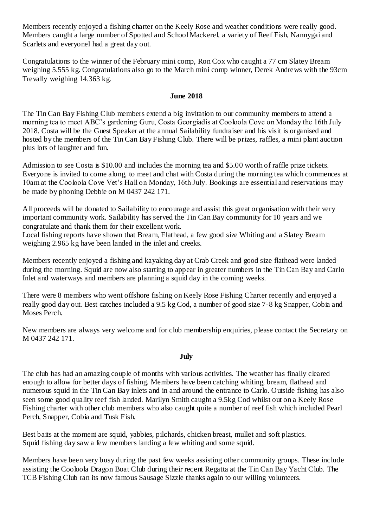Members recently enjoyed a fishing charter on the Keely Rose and weather conditions were really good. Members caught a large number of Spotted and School Mackerel, a variety of Reef Fish, Nannygai and Scarlets and everyonel had a great day out.

Congratulations to the winner of the February mini comp, Ron Cox who caught a 77 cm Slatey Bream weighing 5.555 kg. Congratulations also go to the March mini comp winner, Derek Andrews with the 93cm Trevally weighing 14.363 kg.

#### **June 2018**

The Tin Can Bay Fishing Club members extend a big invitation to our community members to attend a morning tea to meet ABC's gardening Guru, Costa Georgiadis at Cooloola Cove on Monday the 16th July 2018. Costa will be the Guest Speaker at the annual Sailability fundraiser and his visit is organised and hosted by the members of the Tin Can Bay Fishing Club. There will be prizes, raffles, a mini plant auction plus lots of laughter and fun.

Admission to see Costa is \$10.00 and includes the morning tea and \$5.00 worth of raffle prize tickets. Everyone is invited to come along, to meet and chat with Costa during the morning tea which commences at 10am at the Cooloola Cove Vet's Hall on Monday, 16th July. Bookings are essential and reservations may be made by phoning Debbie on M 0437 242 171.

All proceeds will be donated to Sailability to encourage and assist this great organisation with their very important community work. Sailability has served the Tin Can Bay community for 10 years and we congratulate and thank them for their excellent work.

Local fishing reports have shown that Bream, Flathead, a few good size Whiting and a Slatey Bream weighing 2.965 kg have been landed in the inlet and creeks.

Members recently enjoyed a fishing and kayaking day at Crab Creek and good size flathead were landed during the morning. Squid are now also starting to appear in greater numbers in the Tin Can Bay and Carlo Inlet and waterways and members are planning a squid day in the coming weeks.

There were 8 members who went offshore fishing on Keely Rose Fishing Charter recently and enjoyed a really good day out. Best catches included a 9.5 kg Cod, a number of good size 7-8 kg Snapper, Cobia and Moses Perch.

New members are always very welcome and for club membership enquiries, please contact the Secretary on M 0437 242 171.

#### **July**

The club has had an amazing couple of months with various activities. The weather has finally cleared enough to allow for better days of fishing. Members have been catching whiting, bream, flathead and numerous squid in the Tin Can Bay inlets and in and around the entrance to Carlo. Outside fishing has also seen some good quality reef fish landed. Marilyn Smith caught a 9.5kg Cod whilst out on a Keely Rose Fishing charter with other club members who also caught quite a number of reef fish which included Pearl Perch, Snapper, Cobia and Tusk Fish.

Best baits at the moment are squid, yabbies, pilchards, chicken breast, mullet and soft plastics. Squid fishing day saw a few members landing a few whiting and some squid.

Members have been very busy during the past few weeks assisting other community groups. These include assisting the Cooloola Dragon Boat Club during their recent Regatta at the Tin Can Bay Yacht Club. The TCB Fishing Club ran its now famous Sausage Sizzle thanks again to our willing volunteers.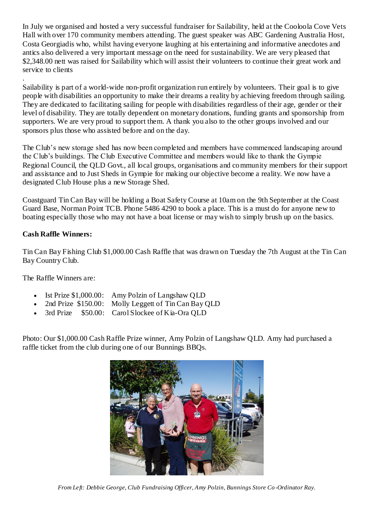In July we organised and hosted a very successful fundraiser for Sailability, held at the Cooloola Cove Vets Hall with over 170 community members attending. The guest speaker was ABC Gardening Australia Host, Costa Georgiadis who, whilst having everyone laughing at his entertaining and informative anecdotes and antics also delivered a very important message on the need for sustainability. We are very pleased that \$2,348.00 nett was raised for Sailability which will assist their volunteers to continue their great work and service to clients

. Sailability is part of a world-wide non-profit organization run entirely by volunteers. Their goal is to give people with disabilities an opportunity to make their dreams a reality by achieving freedom through sailing. They are dedicated to facilitating sailing for people with disabilities regardless of their age, gender or their level of disability. They are totally dependent on monetary donations, funding grants and sponsorship from supporters. We are very proud to support them. A thank you also to the other groups involved and our sponsors plus those who assisted before and on the day.

The Club's new storage shed has now been completed and members have commenced landscaping around the Club's buildings. The Club Executive Committee and members would like to thank the Gympie Regional Council, the QLD Govt., all local groups, organisations and community members for their support and assistance and to Just Sheds in Gympie for making our objective become a reality. We now have a designated Club House plus a new Storage Shed.

Coastguard Tin Can Bay will be holding a Boat Safety Course at 10am on the 9th September at the Coast Guard Base, Norman Point TCB. Phone 5486 4290 to book a place. This is a must do for anyone new to boating especially those who may not have a boat license or may wish to simply brush up on the basics.

# **Cash Raffle Winners:**

Tin Can Bay Fishing Club \$1,000.00 Cash Raffle that was drawn on Tuesday the 7th August at the Tin Can Bay Country Club.

The Raffle Winners are:

- Ist Prize \$1,000.00: Amy Polzin of Langshaw QLD
- 2nd Prize \$150.00: Molly Leggett of Tin Can Bay QLD
- 3rd Prize \$50.00: Carol Slockee of Kia-Ora QLD

Photo: Our \$1,000.00 Cash Raffle Prize winner, Amy Polzin of Langshaw QLD. Amy had purchased a raffle ticket from the club during one of our Bunnings BBQs.



*From Left: Debbie George, Club Fundraising Officer, Amy Polzin, Bunnings Store Co -Ordinator Ray.*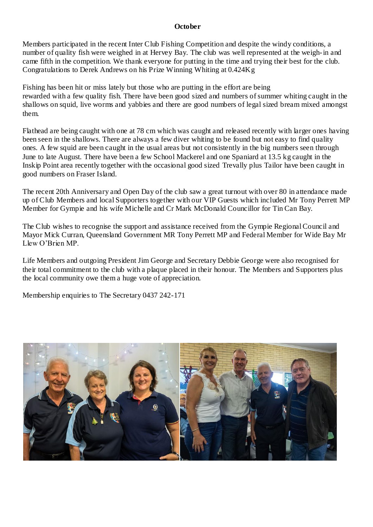#### **October**

Members participated in the recent Inter Club Fishing Competition and despite the windy conditions, a number of quality fish were weighed in at Hervey Bay. The club was well represented at the weigh-in and came fifth in the competition. We thank everyone for putting in the time and trying their best for the club. Congratulations to Derek Andrews on his Prize Winning Whiting at 0.424Kg

Fishing has been hit or miss lately but those who are putting in the effort are being rewarded with a few quality fish. There have been good sized and numbers of summer whiting caught in the shallows on squid, live worms and yabbies and there are good numbers of legal sized bream mixed amongst them.

Flathead are being caught with one at 78 cm which was caught and released recently with larger ones having been seen in the shallows. There are always a few diver whiting to be found but not easy to find quality ones. A few squid are been caught in the usual areas but not consistently in the big numbers seen through June to late August. There have been a few School Mackerel and one Spaniard at 13.5 kg caught in the Inskip Point area recently together with the occasional good sized Trevally plus Tailor have been caught in good numbers on Fraser Island.

The recent 20th Anniversary and Open Day of the club saw a great turnout with over 80 in attendance made up of Club Members and local Supporters together with our VIP Guests which included Mr Tony Perrett MP Member for Gympie and his wife Michelle and Cr Mark McDonald Councillor for Tin Can Bay.

The Club wishes to recognise the support and assistance received from the Gympie Regional Council and Mayor Mick Curran, Queensland Government MR Tony Perrett MP and Federal Member for Wide Bay Mr Llew O'Brien MP.

Life Members and outgoing President Jim George and Secretary Debbie George were also recognised for their total commitment to the club with a plaque placed in their honour. The Members and Supporters plus the local community owe them a huge vote of appreciation.

Membership enquiries to The Secretary 0437 242-171